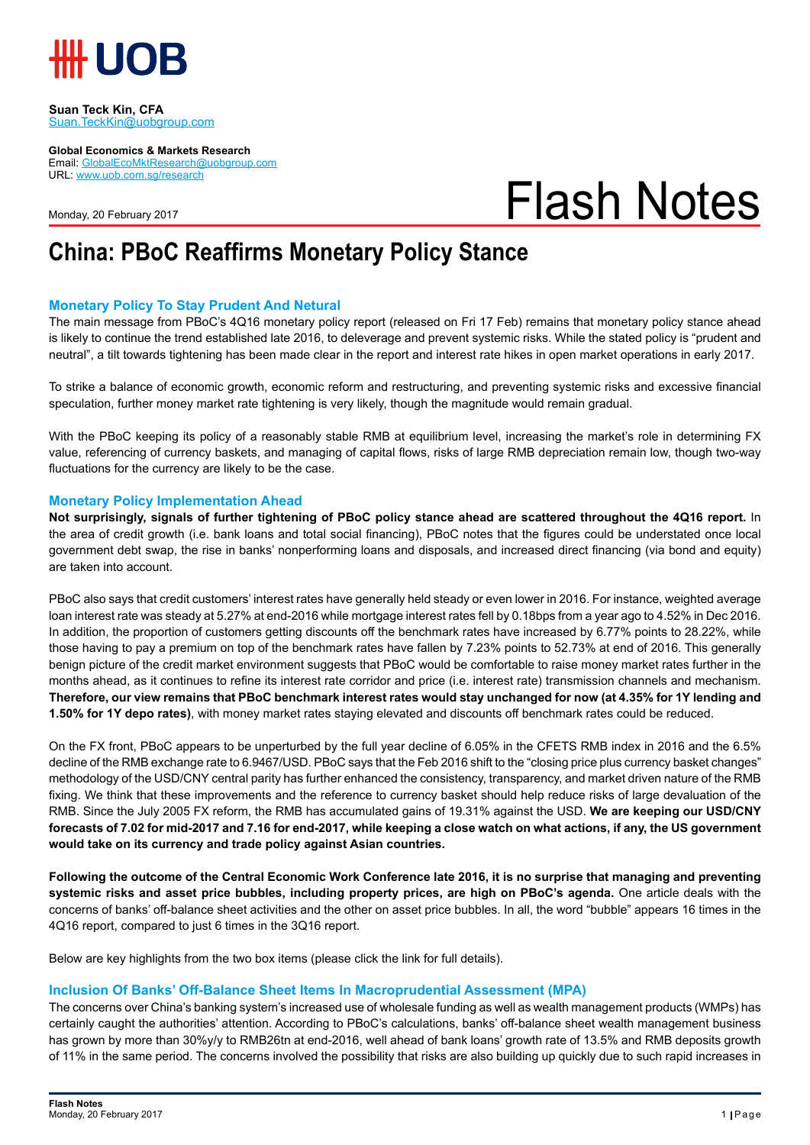

**Suan Teck Kin, CFA** Suan.TeckKin@uobgroup.com

**Global Economics & Markets Research**

Email: GlobalEcoMktResearch@uobgroup.com URL: www.uob.com.sg/research

Monday, 20 February 2017

# Flash Notes

### **China: PBoC Reaffirms Monetary Policy Stance**

#### **Monetary Policy To Stay Prudent And Netural**

The main message from PBoC's 4Q16 monetary policy report (released on Fri 17 Feb) remains that monetary policy stance ahead is likely to continue the trend established late 2016, to deleverage and prevent systemic risks. While the stated policy is "prudent and neutral", a tilt towards tightening has been made clear in the report and interest rate hikes in open market operations in early 2017.

To strike a balance of economic growth, economic reform and restructuring, and preventing systemic risks and excessive financial speculation, further money market rate tightening is very likely, though the magnitude would remain gradual.

With the PBoC keeping its policy of a reasonably stable RMB at equilibrium level, increasing the market's role in determining FX value, referencing of currency baskets, and managing of capital flows, risks of large RMB depreciation remain low, though two-way fluctuations for the currency are likely to be the case.

#### **Monetary Policy Implementation Ahead**

**Not surprisingly, signals of further tightening of PBoC policy stance ahead are scattered throughout the 4Q16 report.** In the area of credit growth (i.e. bank loans and total social financing), PBoC notes that the figures could be understated once local government debt swap, the rise in banks' nonperforming loans and disposals, and increased direct financing (via bond and equity) are taken into account.

PBoC also says that credit customers' interest rates have generally held steady or even lower in 2016. For instance, weighted average loan interest rate was steady at 5.27% at end-2016 while mortgage interest rates fell by 0.18bps from a year ago to 4.52% in Dec 2016. In addition, the proportion of customers getting discounts off the benchmark rates have increased by 6.77% points to 28.22%, while those having to pay a premium on top of the benchmark rates have fallen by 7.23% points to 52.73% at end of 2016. This generally benign picture of the credit market environment suggests that PBoC would be comfortable to raise money market rates further in the months ahead, as it continues to refine its interest rate corridor and price (i.e. interest rate) transmission channels and mechanism. **Therefore, our view remains that PBoC benchmark interest rates would stay unchanged for now (at 4.35% for 1Y lending and 1.50% for 1Y depo rates)**, with money market rates staying elevated and discounts off benchmark rates could be reduced.

On the FX front, PBoC appears to be unperturbed by the full year decline of 6.05% in the CFETS RMB index in 2016 and the 6.5% decline of the RMB exchange rate to 6.9467/USD. PBoC says that the Feb 2016 shift to the "closing price plus currency basket changes" methodology of the USD/CNY central parity has further enhanced the consistency, transparency, and market driven nature of the RMB fixing. We think that these improvements and the reference to currency basket should help reduce risks of large devaluation of the RMB. Since the July 2005 FX reform, the RMB has accumulated gains of 19.31% against the USD. **We are keeping our USD/CNY forecasts of 7.02 for mid-2017 and 7.16 for end-2017, while keeping a close watch on what actions, if any, the US government would take on its currency and trade policy against Asian countries.** 

**Following the outcome of the Central Economic Work Conference late 2016, it is no surprise that managing and preventing systemic risks and asset price bubbles, including property prices, are high on PBoC's agenda.** One article deals with the concerns of banks' off-balance sheet activities and the other on asset price bubbles. In all, the word "bubble" appears 16 times in the 4Q16 report, compared to just 6 times in the 3Q16 report.

Below are key highlights from the two box items (please click the link for full details).

#### **Inclusion Of Banks' Off-Balance Sheet Items In Macroprudential Assessment (MPA)**

The concerns over China's banking system's increased use of wholesale funding as well as wealth management products (WMPs) has certainly caught the authorities' attention. According to PBoC's calculations, banks' off-balance sheet wealth management business has grown by more than 30%y/y to RMB26tn at end-2016, well ahead of bank loans' growth rate of 13.5% and RMB deposits growth of 11% in the same period. The concerns involved the possibility that risks are also building up quickly due to such rapid increases in